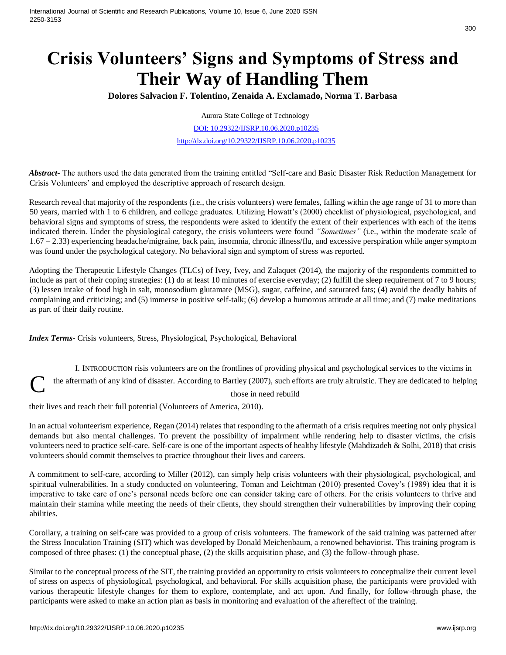# **Crisis Volunteers' Signs and Symptoms of Stress and Their Way of Handling Them**

**Dolores Salvacion F. Tolentino, Zenaida A. Exclamado, Norma T. Barbasa** 

Aurora State College of Technology

DOI: 10.29322/IJSRP.10.06.2020.p10235 [http://dx.doi.org/10.29322/IJSRP.10.06.2020.p10235](http://dx.doi.org/10.29322/IJSRP.X.X.2018.pXXXX)

*Abstract***-** The authors used the data generated from the training entitled "Self-care and Basic Disaster Risk Reduction Management for Crisis Volunteers' and employed the descriptive approach of research design.

Research reveal that majority of the respondents (i.e., the crisis volunteers) were females, falling within the age range of 31 to more than 50 years, married with 1 to 6 children, and college graduates. Utilizing Howatt's (2000) checklist of physiological, psychological, and behavioral signs and symptoms of stress, the respondents were asked to identify the extent of their experiences with each of the items indicated therein. Under the physiological category, the crisis volunteers were found *"Sometimes"* (i.e., within the moderate scale of 1.67 – 2.33) experiencing headache/migraine, back pain, insomnia, chronic illness/flu, and excessive perspiration while anger symptom was found under the psychological category. No behavioral sign and symptom of stress was reported.

Adopting the Therapeutic Lifestyle Changes (TLCs) of Ivey, Ivey, and Zalaquet (2014), the majority of the respondents committed to include as part of their coping strategies: (1) do at least 10 minutes of exercise everyday; (2) fulfill the sleep requirement of 7 to 9 hours; (3) lessen intake of food high in salt, monosodium glutamate (MSG), sugar, caffeine, and saturated fats; (4) avoid the deadly habits of complaining and criticizing; and (5) immerse in positive self-talk; (6) develop a humorous attitude at all time; and (7) make meditations as part of their daily routine.

*Index Terms*- Crisis volunteers, Stress, Physiological, Psychological, Behavioral

I. INTRODUCTION risis volunteers are on the frontlines of providing physical and psychological services to the victims in the aftermath of any kind of disaster. According to Bartley (2007), such efforts are truly altruistic. They are dedicated to helping C

those in need rebuild

their lives and reach their full potential (Volunteers of America, 2010).

In an actual volunteerism experience, Regan (2014) relates that responding to the aftermath of a crisis requires meeting not only physical demands but also mental challenges. To prevent the possibility of impairment while rendering help to disaster victims, the crisis volunteers need to practice self-care. Self-care is one of the important aspects of healthy lifestyle (Mahdizadeh & Solhi, 2018) that crisis volunteers should commit themselves to practice throughout their lives and careers.

A commitment to self-care, according to Miller (2012), can simply help crisis volunteers with their physiological, psychological, and spiritual vulnerabilities. In a study conducted on volunteering, Toman and Leichtman (2010) presented Covey's (1989) idea that it is imperative to take care of one's personal needs before one can consider taking care of others. For the crisis volunteers to thrive and maintain their stamina while meeting the needs of their clients, they should strengthen their vulnerabilities by improving their coping abilities.

Corollary, a training on self-care was provided to a group of crisis volunteers. The framework of the said training was patterned after the Stress Inoculation Training (SIT) which was developed by Donald Meichenbaum, a renowned behaviorist. This training program is composed of three phases: (1) the conceptual phase, (2) the skills acquisition phase, and (3) the follow-through phase.

Similar to the conceptual process of the SIT, the training provided an opportunity to crisis volunteers to conceptualize their current level of stress on aspects of physiological, psychological, and behavioral. For skills acquisition phase, the participants were provided with various therapeutic lifestyle changes for them to explore, contemplate, and act upon. And finally, for follow-through phase, the participants were asked to make an action plan as basis in monitoring and evaluation of the aftereffect of the training.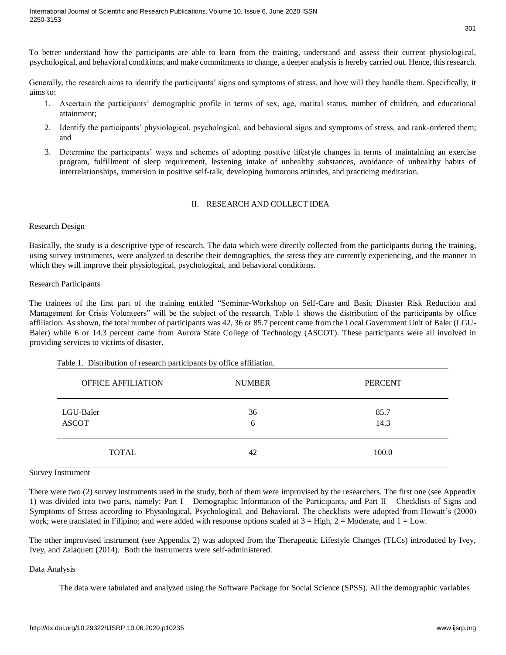To better understand how the participants are able to learn from the training, understand and assess their current physiological, psychological, and behavioral conditions, and make commitments to change, a deeper analysis is hereby carried out. Hence, this research.

Generally, the research aims to identify the participants' signs and symptoms of stress, and how will they handle them. Specifically, it aims to:

- 1. Ascertain the participants' demographic profile in terms of sex, age, marital status, number of children, and educational attainment;
- 2. Identify the participants' physiological, psychological, and behavioral signs and symptoms of stress, and rank-ordered them; and
- 3. Determine the participants' ways and schemes of adopting positive lifestyle changes in terms of maintaining an exercise program, fulfillment of sleep requirement, lessening intake of unhealthy substances, avoidance of unhealthy habits of interrelationships, immersion in positive self-talk, developing humorous attitudes, and practicing meditation.

# II. RESEARCH AND COLLECT IDEA

## Research Design

Basically, the study is a descriptive type of research. The data which were directly collected from the participants during the training, using survey instruments, were analyzed to describe their demographics, the stress they are currently experiencing, and the manner in which they will improve their physiological, psychological, and behavioral conditions.

## Research Participants

The trainees of the first part of the training entitled "Seminar-Workshop on Self-Care and Basic Disaster Risk Reduction and Management for Crisis Volunteers" will be the subject of the research. Table 1 shows the distribution of the participants by office affiliation. As shown, the total number of participants was 42, 36 or 85.7 percent came from the Local Government Unit of Baler (LGU-Baler) while 6 or 14.3 percent came from Aurora State College of Technology (ASCOT). These participants were all involved in providing services to victims of disaster.

| <b>OFFICE AFFILIATION</b> | <b>NUMBER</b> | <b>PERCENT</b> |
|---------------------------|---------------|----------------|
| LGU-Baler<br><b>ASCOT</b> | 36<br>6       | 85.7<br>14.3   |
| <b>TOTAL</b>              | 42            | 100.0          |

# Table 1. Distribution of research participants by office affiliation.

Survey Instrument

There were two (2) survey instruments used in the study, both of them were improvised by the researchers. The first one (see Appendix 1) was divided into two parts, namely: Part I – Demographic Information of the Participants, and Part II – Checklists of Signs and Symptoms of Stress according to Physiological, Psychological, and Behavioral. The checklists were adopted from Howatt's (2000) work; were translated in Filipino; and were added with response options scaled at  $3 =$  High,  $2 =$  Moderate, and  $1 =$  Low.

The other improvised instrument (see Appendix 2) was adopted from the Therapeutic Lifestyle Changes (TLCs) introduced by Ivey, Ivey, and Zalaquett (2014). Both the instruments were self-administered.

# Data Analysis

The data were tabulated and analyzed using the Software Package for Social Science (SPSS). All the demographic variables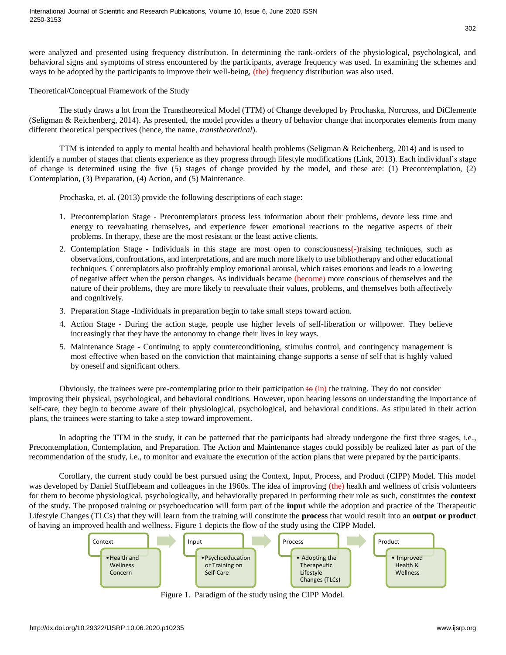were analyzed and presented using frequency distribution. In determining the rank-orders of the physiological, psychological, and behavioral signs and symptoms of stress encountered by the participants, average frequency was used. In examining the schemes and ways to be adopted by the participants to improve their well-being, (the) frequency distribution was also used.

Theoretical/Conceptual Framework of the Study

The study draws a lot from the Transtheoretical Model (TTM) of Change developed by Prochaska, Norcross, and DiClemente (Seligman & Reichenberg, 2014). As presented, the model provides a theory of behavior change that incorporates elements from many different theoretical perspectives (hence, the name*, transtheoretical*).

TTM is intended to apply to mental health and behavioral health problems (Seligman & Reichenberg, 2014) and is used to identify a number of stages that clients experience as they progress through lifestyle modifications (Link, 2013). Each individual's stage of change is determined using the five (5) stages of change provided by the model, and these are: (1) Precontemplation, (2) Contemplation, (3) Preparation, (4) Action, and (5) Maintenance.

Prochaska, et. al. (2013) provide the following descriptions of each stage:

- 1. Precontemplation Stage Precontemplators process less information about their problems, devote less time and energy to reevaluating themselves, and experience fewer emotional reactions to the negative aspects of their problems. In therapy, these are the most resistant or the least active clients.
- 2. Contemplation Stage Individuals in this stage are most open to consciousness(-)raising techniques, such as observations, confrontations, and interpretations, and are much more likely to use bibliotherapy and other educational techniques. Contemplators also profitably employ emotional arousal, which raises emotions and leads to a lowering of negative affect when the person changes. As individuals became (become) more conscious of themselves and the nature of their problems, they are more likely to reevaluate their values, problems, and themselves both affectively and cognitively.
- 3. Preparation Stage -Individuals in preparation begin to take small steps toward action.
- 4. Action Stage During the action stage, people use higher levels of self-liberation or willpower. They believe increasingly that they have the autonomy to change their lives in key ways.
- 5. Maintenance Stage Continuing to apply counterconditioning, stimulus control, and contingency management is most effective when based on the conviction that maintaining change supports a sense of self that is highly valued by oneself and significant others.

Obviously, the trainees were pre-contemplating prior to their participation  $\leftrightarrow$  (in) the training. They do not consider improving their physical, psychological, and behavioral conditions. However, upon hearing lessons on understanding the importance of self-care, they begin to become aware of their physiological, psychological, and behavioral conditions. As stipulated in their action plans, the trainees were starting to take a step toward improvement.

In adopting the TTM in the study, it can be patterned that the participants had already undergone the first three stages, i.e., Precontemplation, Contemplation, and Preparation. The Action and Maintenance stages could possibly be realized later as part of the recommendation of the study, i.e., to monitor and evaluate the execution of the action plans that were prepared by the participants.

Corollary, the current study could be best pursued using the Context, Input, Process, and Product (CIPP) Model. This model was developed by Daniel Stufflebeam and colleagues in the 1960s. The idea of improving (the) health and wellness of crisis volunteers for them to become physiological, psychologically, and behaviorally prepared in performing their role as such, constitutes the **context** of the study. The proposed training or psychoeducation will form part of the **input** while the adoption and practice of the Therapeutic Lifestyle Changes (TLCs) that they will learn from the training will constitute the **process** that would result into an **output or product** of having an improved health and wellness. Figure 1 depicts the flow of the study using the CIPP Model.



Figure 1. Paradigm of the study using the CIPP Model.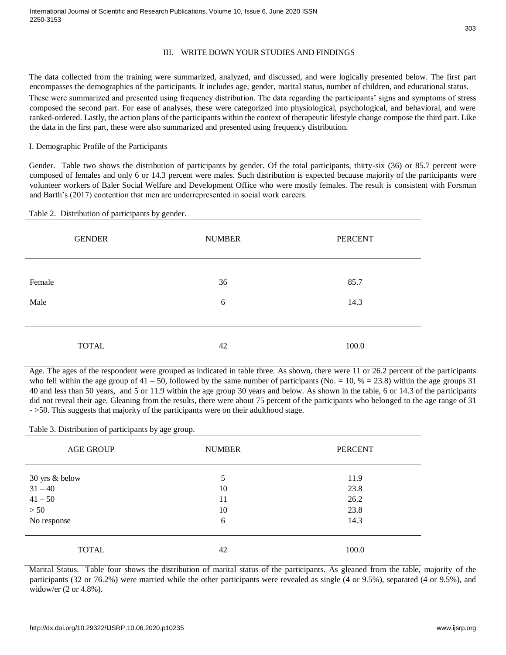# III. WRITE DOWN YOUR STUDIES AND FINDINGS

The data collected from the training were summarized, analyzed, and discussed, and were logically presented below. The first part encompasses the demographics of the participants. It includes age, gender, marital status, number of children, and educational status. These were summarized and presented using frequency distribution. The data regarding the participants' signs and symptoms of stress composed the second part. For ease of analyses, these were categorized into physiological, psychological, and behavioral, and were ranked-ordered. Lastly, the action plans of the participants within the context of therapeutic lifestyle change compose the third part. Like the data in the first part, these were also summarized and presented using frequency distribution.

# I. Demographic Profile of the Participants

Gender. Table two shows the distribution of participants by gender. Of the total participants, thirty-six (36) or 85.7 percent were composed of females and only 6 or 14.3 percent were males. Such distribution is expected because majority of the participants were volunteer workers of Baler Social Welfare and Development Office who were mostly females. The result is consistent with Forsman and Barth's (2017) contention that men are underrepresented in social work careers.

## Table 2. Distribution of participants by gender.

| <b>GENDER</b> | <b>NUMBER</b> | <b>PERCENT</b> |
|---------------|---------------|----------------|
| Female        | 36            | 85.7           |
| Male          | 6             | 14.3           |
| <b>TOTAL</b>  | 42            | 100.0          |

Age. The ages of the respondent were grouped as indicated in table three. As shown, there were 11 or 26.2 percent of the participants who fell within the age group of  $41 - 50$ , followed by the same number of participants (No. = 10,  $% = 23.8$ ) within the age groups 31 40 and less than 50 years, and 5 or 11.9 within the age group 30 years and below. As shown in the table, 6 or 14.3 of the participants did not reveal their age. Gleaning from the results, there were about 75 percent of the participants who belonged to the age range of 31 - >50. This suggests that majority of the participants were on their adulthood stage.

Table 3. Distribution of participants by age group.

| <b>AGE GROUP</b> | <b>NUMBER</b> | <b>PERCENT</b> |
|------------------|---------------|----------------|
| 30 yrs & below   | 5             | 11.9           |
| $31 - 40$        | 10            | 23.8           |
| $41 - 50$        | 11            | 26.2           |
| > 50             | 10            | 23.8           |
| No response      | 6             | 14.3           |
| <b>TOTAL</b>     | 42            | 100.0          |

Marital Status. Table four shows the distribution of marital status of the participants. As gleaned from the table, majority of the participants (32 or 76.2%) were married while the other participants were revealed as single (4 or 9.5%), separated (4 or 9.5%), and widow/er (2 or 4.8%).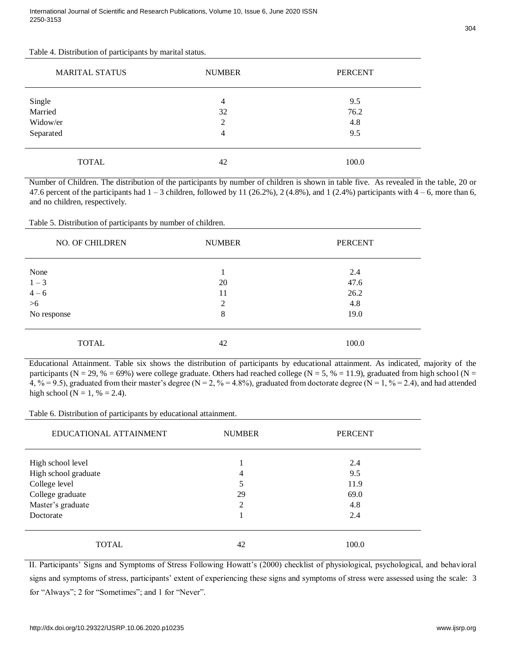| <b>MARITAL STATUS</b> | <b>NUMBER</b> | <b>PERCENT</b> |
|-----------------------|---------------|----------------|
|                       | 4             | 9.5            |
| Single<br>Married     | 32            | 76.2           |
| Widow/er              | 2             | 4.8            |
| Separated             | 4             | 9.5            |
| <b>TOTAL</b>          | 42            | 100.0          |

Number of Children. The distribution of the participants by number of children is shown in table five. As revealed in the table, 20 or 47.6 percent of the participants had  $1 - 3$  children, followed by 11 (26.2%), 2 (4.8%), and 1 (2.4%) participants with  $4 - 6$ , more than 6, and no children, respectively.

| Table 5. Distribution of participants by number of children. |  |  |
|--------------------------------------------------------------|--|--|
|                                                              |  |  |

| NO. OF CHILDREN | <b>NUMBER</b>  | <b>PERCENT</b> |
|-----------------|----------------|----------------|
| None            |                | 2.4            |
| $1 - 3$         | 20             | 47.6           |
| $4 - 6$         | 11             | 26.2           |
| $>6$            | $\overline{2}$ | 4.8            |
| No response     | 8              | 19.0           |
| <b>TOTAL</b>    | 42             | 100.0          |

Educational Attainment. Table six shows the distribution of participants by educational attainment. As indicated, majority of the participants (N = 29, % = 69%) were college graduate. Others had reached college (N = 5, % = 11.9), graduated from high school (N = 4, % = 9.5), graduated from their master's degree (N = 2, % = 4.8%), graduated from doctorate degree (N = 1, % = 2.4), and had attended high school ( $N = 1, \% = 2.4$ ).

Table 6. Distribution of participants by educational attainment.

| EDUCATIONAL ATTAINMENT | <b>NUMBER</b> | <b>PERCENT</b> |
|------------------------|---------------|----------------|
| High school level      |               | 2.4            |
| High school graduate   | 4             | 9.5            |
| College level          | 5             | 11.9           |
| College graduate       | 29            | 69.0           |
| Master's graduate      | 2             | 4.8            |
| Doctorate              |               | 2.4            |
| TOTAL                  | 42            | 100.0          |

II. Participants' Signs and Symptoms of Stress Following Howatt's (2000) checklist of physiological, psychological, and behavioral signs and symptoms of stress, participants' extent of experiencing these signs and symptoms of stress were assessed using the scale: 3 for "Always"; 2 for "Sometimes"; and 1 for "Never".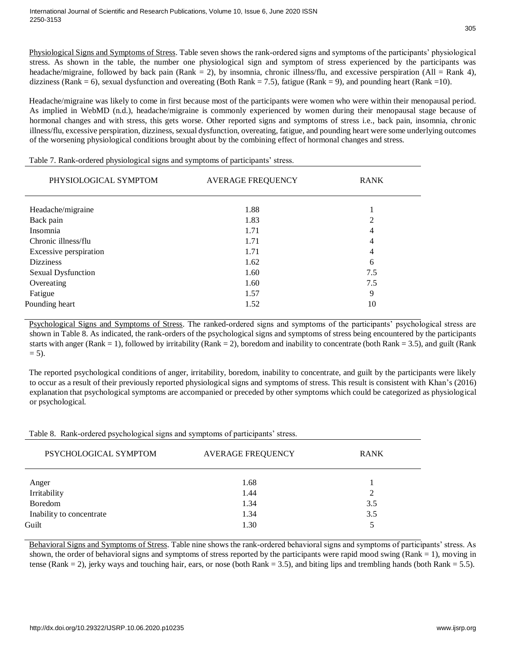305

Physiological Signs and Symptoms of Stress. Table seven shows the rank-ordered signs and symptoms of the participants' physiological stress. As shown in the table, the number one physiological sign and symptom of stress experienced by the participants was headache/migraine, followed by back pain (Rank = 2), by insomnia, chronic illness/flu, and excessive perspiration (All = Rank 4), dizziness (Rank = 6), sexual dysfunction and overeating (Both Rank = 7.5), fatigue (Rank = 9), and pounding heart (Rank = 10).

Headache/migraine was likely to come in first because most of the participants were women who were within their menopausal period. As implied in WebMD (n.d.), headache/migraine is commonly experienced by women during their menopausal stage because of hormonal changes and with stress, this gets worse. Other reported signs and symptoms of stress i.e., back pain, insomnia, chronic illness/flu, excessive perspiration, dizziness, sexual dysfunction, overeating, fatigue, and pounding heart were some underlying outcomes of the worsening physiological conditions brought about by the combining effect of hormonal changes and stress.

| PHYSIOLOGICAL SYMPTOM     | <b>AVERAGE FREQUENCY</b> | <b>RANK</b> |  |
|---------------------------|--------------------------|-------------|--|
| Headache/migraine         | 1.88                     |             |  |
| Back pain                 | 1.83                     | 2           |  |
| Insomnia                  | 1.71                     | 4           |  |
| Chronic illness/flu       | 1.71                     | 4           |  |
| Excessive perspiration    | 1.71                     | 4           |  |
| <b>Dizziness</b>          | 1.62                     | 6           |  |
| <b>Sexual Dysfunction</b> | 1.60                     | 7.5         |  |
| Overeating                | 1.60                     | 7.5         |  |
| Fatigue                   | 1.57                     | 9           |  |
| Pounding heart            | 1.52                     | 10          |  |
|                           |                          |             |  |

Table 7. Rank-ordered physiological signs and symptoms of participants' stress.

Psychological Signs and Symptoms of Stress. The ranked-ordered signs and symptoms of the participants' psychological stress are shown in Table 8. As indicated, the rank-orders of the psychological signs and symptoms of stress being encountered by the participants starts with anger (Rank = 1), followed by irritability (Rank = 2), boredom and inability to concentrate (both Rank = 3.5), and guilt (Rank  $= 5$ ).

The reported psychological conditions of anger, irritability, boredom, inability to concentrate, and guilt by the participants were likely to occur as a result of their previously reported physiological signs and symptoms of stress. This result is consistent with Khan's (2016) explanation that psychological symptoms are accompanied or preceded by other symptoms which could be categorized as physiological or psychological.

Table 8. Rank-ordered psychological signs and symptoms of participants' stress.

| PSYCHOLOGICAL SYMPTOM    | <b>AVERAGE FREQUENCY</b> | <b>RANK</b> |
|--------------------------|--------------------------|-------------|
| Anger                    | 1.68                     |             |
| Irritability             | 1.44                     | 2           |
| Boredom                  | 1.34                     | 3.5         |
| Inability to concentrate | 1.34                     | 3.5         |
| Guilt                    | 1.30                     | 5           |

Behavioral Signs and Symptoms of Stress. Table nine shows the rank-ordered behavioral signs and symptoms of participants' stress. As shown, the order of behavioral signs and symptoms of stress reported by the participants were rapid mood swing (Rank = 1), moving in tense (Rank = 2), jerky ways and touching hair, ears, or nose (both Rank = 3.5), and biting lips and trembling hands (both Rank = 5.5).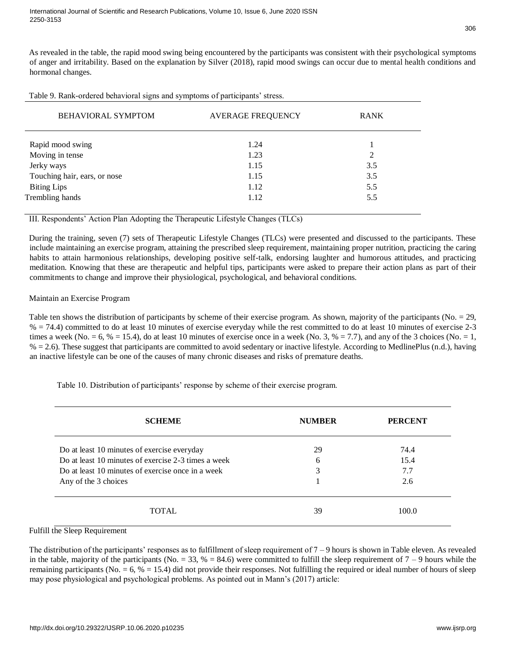As revealed in the table, the rapid mood swing being encountered by the participants was consistent with their psychological symptoms of anger and irritability. Based on the explanation by Silver (2018), rapid mood swings can occur due to mental health conditions and hormonal changes.

| Table 9. Rank-ordered behavioral signs and symptoms of participants' stress. |  |  |  |
|------------------------------------------------------------------------------|--|--|--|
|                                                                              |  |  |  |

| BEHAVIORAL SYMPTOM           | <b>AVERAGE FREQUENCY</b> | <b>RANK</b> |
|------------------------------|--------------------------|-------------|
| Rapid mood swing             | 1.24                     |             |
| Moving in tense              | 1.23                     | 2           |
| Jerky ways                   | 1.15                     | 3.5         |
| Touching hair, ears, or nose | 1.15                     | 3.5         |
| <b>Biting Lips</b>           | 1.12                     | 5.5         |
| Trembling hands              | 1.12                     | 5.5         |

III. Respondents' Action Plan Adopting the Therapeutic Lifestyle Changes (TLCs)

During the training, seven (7) sets of Therapeutic Lifestyle Changes (TLCs) were presented and discussed to the participants. These include maintaining an exercise program, attaining the prescribed sleep requirement, maintaining proper nutrition, practicing the caring habits to attain harmonious relationships, developing positive self-talk, endorsing laughter and humorous attitudes, and practicing meditation. Knowing that these are therapeutic and helpful tips, participants were asked to prepare their action plans as part of their commitments to change and improve their physiological, psychological, and behavioral conditions.

## Maintain an Exercise Program

Table ten shows the distribution of participants by scheme of their exercise program. As shown, majority of the participants (No. = 29,  $% = 74.4$ ) committed to do at least 10 minutes of exercise everyday while the rest committed to do at least 10 minutes of exercise 2-3 times a week (No. = 6, % = 15.4), do at least 10 minutes of exercise once in a week (No. 3, % = 7.7), and any of the 3 choices (No. = 1,  $% = 2.6$ ). These suggest that participants are committed to avoid sedentary or inactive lifestyle. According to MedlinePlus (n.d.), having an inactive lifestyle can be one of the causes of many chronic diseases and risks of premature deaths.

Table 10. Distribution of participants' response by scheme of their exercise program.

| <b>SCHEME</b>                                       | <b>NUMBER</b> | <b>PERCENT</b> |
|-----------------------------------------------------|---------------|----------------|
| Do at least 10 minutes of exercise everyday         | 29            | 74.4           |
| Do at least 10 minutes of exercise 2-3 times a week | 6             | 15.4           |
| Do at least 10 minutes of exercise once in a week   | 3             | 7.7            |
| Any of the 3 choices                                |               | 2.6            |
| <b>TOTAL</b>                                        | 39            | 100.0          |

#### Fulfill the Sleep Requirement

The distribution of the participants' responses as to fulfillment of sleep requirement of 7 – 9 hours is shown in Table eleven. As revealed in the table, majority of the participants (No. = 33,  $% = 84.6$ ) were committed to fulfill the sleep requirement of  $7 - 9$  hours while the remaining participants (No.  $= 6$ ,  $\% = 15.4$ ) did not provide their responses. Not fulfilling the required or ideal number of hours of sleep may pose physiological and psychological problems. As pointed out in Mann's (2017) article: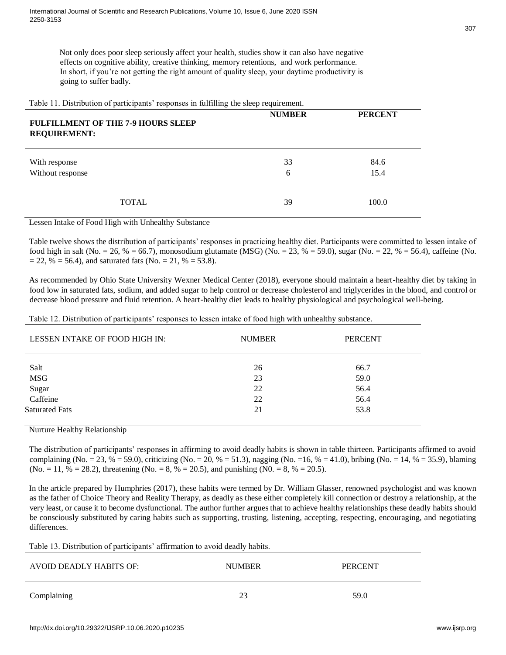Not only does poor sleep seriously affect your health, studies show it can also have negative effects on cognitive ability, creative thinking, memory retentions, and work performance. In short, if you're not getting the right amount of quality sleep, your daytime productivity is going to suffer badly.

Table 11. Distribution of participants' responses in fulfilling the sleep requirement.

| <b>FULFILLMENT OF THE 7-9 HOURS SLEEP</b><br><b>REQUIREMENT:</b> | <b>NUMBER</b> | <b>PERCENT</b> |
|------------------------------------------------------------------|---------------|----------------|
| With response<br>Without response                                | 33<br>6       | 84.6<br>15.4   |
| <b>TOTAL</b>                                                     | 39            | 100.0          |

Lessen Intake of Food High with Unhealthy Substance

Table twelve shows the distribution of participants' responses in practicing healthy diet. Participants were committed to lessen intake of food high in salt (No. = 26, % = 66.7), monosodium glutamate (MSG) (No. = 23, % = 59.0), sugar (No. = 22, % = 56.4), caffeine (No.  $= 22$ , %  $= 56.4$ ), and saturated fats (No.  $= 21$ , %  $= 53.8$ ).

As recommended by Ohio State University Wexner Medical Center (2018), everyone should maintain a heart-healthy diet by taking in food low in saturated fats, sodium, and added sugar to help control or decrease cholesterol and triglycerides in the blood, and control or decrease blood pressure and fluid retention. A heart-healthy diet leads to healthy physiological and psychological well-being.

Table 12. Distribution of participants' responses to lessen intake of food high with unhealthy substance.

| LESSEN INTAKE OF FOOD HIGH IN: | <b>NUMBER</b> | <b>PERCENT</b> |
|--------------------------------|---------------|----------------|
| Salt                           | 26            | 66.7           |
| <b>MSG</b>                     | 23            | 59.0           |
| Sugar                          | 22            | 56.4           |
| Caffeine                       | 22            | 56.4           |
| <b>Saturated Fats</b>          | 21            | 53.8           |

Nurture Healthy Relationship

The distribution of participants' responses in affirming to avoid deadly habits is shown in table thirteen. Participants affirmed to avoid complaining (No. = 23, % = 59.0), criticizing (No. = 20, % = 51.3), nagging (No. = 16, % = 41.0), bribing (No. = 14, % = 35.9), blaming  $(No. = 11, % = 28.2)$ , threatening  $(No. = 8, % = 20.5)$ , and punishing  $(No. = 8, % = 20.5)$ .

In the article prepared by Humphries (2017), these habits were termed by Dr. William Glasser, renowned psychologist and was known as the father of Choice Theory and Reality Therapy, as deadly as these either completely kill connection or destroy a relationship, at the very least, or cause it to become dysfunctional. The author further argues that to achieve healthy relationships these deadly habits should be consciously substituted by caring habits such as supporting, trusting, listening, accepting, respecting, encouraging, and negotiating differences.

Table 13. Distribution of participants' affirmation to avoid deadly habits.

| AVOID DEADLY HABITS OF: | <b>NUMBER</b> | <b>PERCENT</b> |
|-------------------------|---------------|----------------|
| Complaining             |               | 59.0           |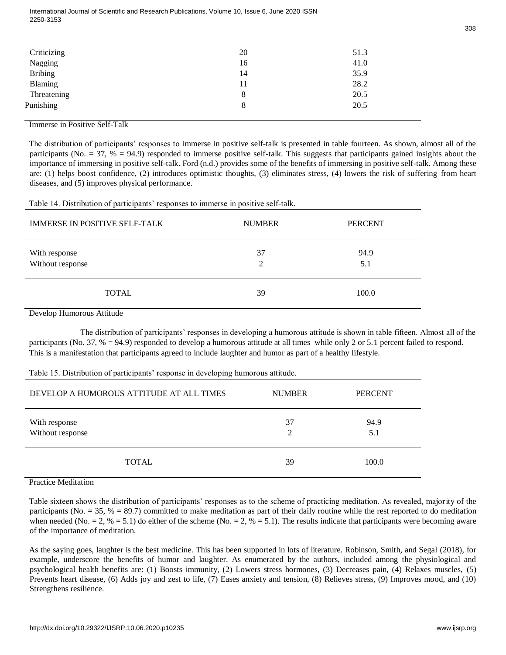| Criticizing    | 20 | 51.3 |
|----------------|----|------|
| Nagging        | 16 | 41.0 |
| <b>Bribing</b> | 14 | 35.9 |
| Blaming        | 11 | 28.2 |
| Threatening    | 8  | 20.5 |
| Punishing      | 8  | 20.5 |
|                |    |      |

#### Immerse in Positive Self-Talk

The distribution of participants' responses to immerse in positive self-talk is presented in table fourteen. As shown, almost all of the participants (No.  $=$  37, %  $=$  94.9) responded to immerse positive self-talk. This suggests that participants gained insights about the importance of immersing in positive self-talk. Ford (n.d.) provides some of the benefits of immersing in positive self-talk. Among these are: (1) helps boost confidence, (2) introduces optimistic thoughts, (3) eliminates stress, (4) lowers the risk of suffering from heart diseases, and (5) improves physical performance.

Table 14. Distribution of participants' responses to immerse in positive self-talk.

| <b>IMMERSE IN POSITIVE SELF-TALK</b> | <b>NUMBER</b> | <b>PERCENT</b> |
|--------------------------------------|---------------|----------------|
| With response<br>Without response    | 37<br>∍       | 94.9<br>5.1    |
| <b>TOTAL</b>                         | 39            | 100.0          |

Develop Humorous Attitude

The distribution of participants' responses in developing a humorous attitude is shown in table fifteen. Almost all of the participants (No. 37, % = 94.9) responded to develop a humorous attitude at all times while only 2 or 5.1 percent failed to respond. This is a manifestation that participants agreed to include laughter and humor as part of a healthy lifestyle.

Table 15. Distribution of participants' response in developing humorous attitude.

| DEVELOP A HUMOROUS ATTITUDE AT ALL TIMES | <b>NUMBER</b> | <b>PERCENT</b> |
|------------------------------------------|---------------|----------------|
| With response<br>Without response        | 37            | 94.9<br>5.1    |
| <b>TOTAL</b>                             | 39            | 100.0          |

Practice Meditation

Table sixteen shows the distribution of participants' responses as to the scheme of practicing meditation. As revealed, majority of the participants (No.  $=$  35,  $% = 89.7$ ) committed to make meditation as part of their daily routine while the rest reported to do meditation when needed (No. = 2, % = 5.1) do either of the scheme (No. = 2, % = 5.1). The results indicate that participants were becoming aware of the importance of meditation.

As the saying goes, laughter is the best medicine. This has been supported in lots of literature. Robinson, Smith, and Segal (2018), for example, underscore the benefits of humor and laughter. As enumerated by the authors, included among the physiological and psychological health benefits are: (1) Boosts immunity, (2) Lowers stress hormones, (3) Decreases pain, (4) Relaxes muscles, (5) Prevents heart disease, (6) Adds joy and zest to life, (7) Eases anxiety and tension, (8) Relieves stress, (9) Improves mood, and (10) Strengthens resilience.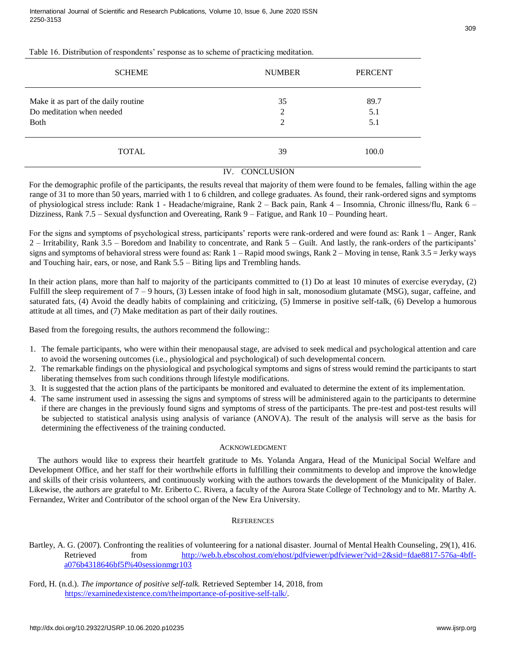# Table 16. Distribution of respondents' response as to scheme of practicing meditation.

| <b>SCHEME</b>                        | <b>NUMBER</b>  | <b>PERCENT</b> |
|--------------------------------------|----------------|----------------|
| Make it as part of the daily routine | 35             | 89.7           |
| Do meditation when needed            | $\overline{2}$ | 5.1            |
| <b>Both</b>                          | 2              | 5.1            |
| <b>TOTAL</b>                         | 39             | 100.0          |

#### IV. CONCLUSION

For the demographic profile of the participants, the results reveal that majority of them were found to be females, falling within the age range of 31 to more than 50 years, married with 1 to 6 children, and college graduates. As found, their rank-ordered signs and symptoms of physiological stress include: Rank 1 - Headache/migraine, Rank 2 – Back pain, Rank 4 – Insomnia, Chronic illness/flu, Rank 6 – Dizziness, Rank 7.5 – Sexual dysfunction and Overeating, Rank 9 – Fatigue, and Rank 10 – Pounding heart.

For the signs and symptoms of psychological stress, participants' reports were rank-ordered and were found as: Rank 1 – Anger, Rank 2 – Irritability, Rank 3.5 – Boredom and Inability to concentrate, and Rank 5 – Guilt. And lastly, the rank-orders of the participants' signs and symptoms of behavioral stress were found as: Rank  $1 -$ Rapid mood swings, Rank  $2 -$ Moving in tense, Rank  $3.5 =$  Jerky ways and Touching hair, ears, or nose, and Rank 5.5 – Biting lips and Trembling hands.

In their action plans, more than half to majority of the participants committed to (1) Do at least 10 minutes of exercise everyday, (2) Fulfill the sleep requirement of 7 – 9 hours, (3) Lessen intake of food high in salt, monosodium glutamate (MSG), sugar, caffeine, and saturated fats, (4) Avoid the deadly habits of complaining and criticizing, (5) Immerse in positive self-talk, (6) Develop a humorous attitude at all times, and (7) Make meditation as part of their daily routines.

Based from the foregoing results, the authors recommend the following::

- 1. The female participants, who were within their menopausal stage, are advised to seek medical and psychological attention and care to avoid the worsening outcomes (i.e., physiological and psychological) of such developmental concern.
- 2. The remarkable findings on the physiological and psychological symptoms and signs of stress would remind the participants to start liberating themselves from such conditions through lifestyle modifications.
- 3. It is suggested that the action plans of the participants be monitored and evaluated to determine the extent of its implementation.
- 4. The same instrument used in assessing the signs and symptoms of stress will be administered again to the participants to determine if there are changes in the previously found signs and symptoms of stress of the participants. The pre-test and post-test results will be subjected to statistical analysis using analysis of variance (ANOVA). The result of the analysis will serve as the basis for determining the effectiveness of the training conducted.

#### ACKNOWLEDGMENT

The authors would like to express their heartfelt gratitude to Ms. Yolanda Angara, Head of the Municipal Social Welfare and Development Office, and her staff for their worthwhile efforts in fulfilling their commitments to develop and improve the knowledge and skills of their crisis volunteers, and continuously working with the authors towards the development of the Municipality of Baler. Likewise, the authors are grateful to Mr. Eriberto C. Rivera, a faculty of the Aurora State College of Technology and to Mr. Marthy A. Fernandez, Writer and Contributor of the school organ of the New Era University.

# **REFERENCES**

Bartley, A. G. (2007). Confronting the realities of volunteering for a national disaster. Journal of Mental Health Counseling, 29(1), 416. Retrieved from [http://web.b.ebscohost.com/ehost/pdfviewer/pdfviewer?vid=2&sid=fdae8817-576a-4bff](http://web.b.ebscohost.com/ehost/pdfviewer/pdfviewer?vid=2&sid=fdae8817-576a-4bff-a076-b4318646bf5f%40sessionmgr103)[a076b4318646bf5f%40sessionmgr103](http://web.b.ebscohost.com/ehost/pdfviewer/pdfviewer?vid=2&sid=fdae8817-576a-4bff-a076-b4318646bf5f%40sessionmgr103)

Ford, H. (n.d.). *The importance of positive self-talk.* Retrieved September 14, 2018, from [https://examinedexistence.com/theimportance-of-positive-self-talk/.](https://examinedexistence.com/the-importance-of-positive-self-talk/)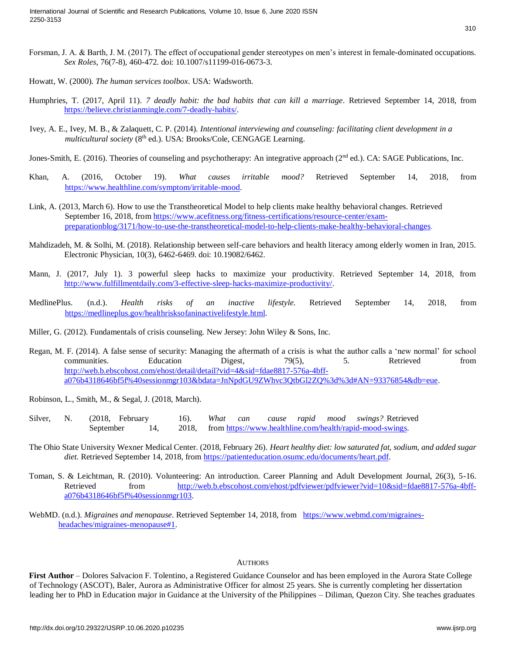- Forsman, J. A. & Barth, J. M. (2017). The effect of occupational gender stereotypes on men's interest in female-dominated occupations. *Sex Roles*, 76(7-8), 460-472. doi: 10.1007/s11199-016-0673-3.
- Howatt, W. (2000). *The human services toolbox*. USA: Wadsworth.
- Humphries, T. (2017, April 11). *7 deadly habit: the bad habits that can kill a marriage*. Retrieved September 14, 2018, from [https://believe.christianmingle.com/7-deadly-habits/.](https://believe.christianmingle.com/7-deadly-habits/)
- Ivey, A. E., Ivey, M. B., & Zalaquett, C. P. (2014). *Intentional interviewing and counseling: facilitating client development in a*  multicultural society (8<sup>th</sup> ed.). USA: Brooks/Cole, CENGAGE Learning.
- Jones-Smith, E. (2016). Theories of counseling and psychotherapy: An integrative approach ( $2<sup>nd</sup>$  ed.). CA: SAGE Publications, Inc.
- Khan, A. (2016, October 19). *What causes irritable mood?* Retrieved September 14, 2018, from [https://www.healthline.com/symptom/irritable-mood.](https://www.healthline.com/symptom/irritable-mood)
- Link, A. (2013, March 6). How to use the Transtheoretical Model to help clients make healthy behavioral changes. Retrieved September 16, 2018, fr[om https://www.acefitness.org/fitness-certifications/resource-center/exam](https://www.acefitness.org/fitness-certifications/resource-center/exam-preparation-blog/3171/how-to-use-the-transtheoretical-model-to-help-clients-make-healthy-behavioral-changes)[preparationblog/3171/how-to-use-the-transtheoretical-model-to-help-clients-make-healthy-behavioral-changes.](https://www.acefitness.org/fitness-certifications/resource-center/exam-preparation-blog/3171/how-to-use-the-transtheoretical-model-to-help-clients-make-healthy-behavioral-changes)
- Mahdizadeh, M. & Solhi, M. (2018). Relationship between self-care behaviors and health literacy among elderly women in Iran, 2015. Electronic Physician, 10(3), 6462-6469. doi: 10.19082/6462.
- Mann, J. (2017, July 1). 3 powerful sleep hacks to maximize your productivity. Retrieved September 14, 2018, from [http://www.fulfillmentdaily.com/3-effective-sleep-hacks-maximize-productivity/.](http://www.fulfillmentdaily.com/3-effective-sleep-hacks-maximize-productivity/)
- MedlinePlus. (n.d.). *Health risks of an inactive lifestyle.* Retrieved September 14, 2018, from [https://medlineplus.gov/healthrisksofaninactivelifestyle.html.](https://medlineplus.gov/healthrisksofaninactivelifestyle.html)
- Miller, G. (2012). Fundamentals of crisis counseling. New Jersey: John Wiley & Sons, Inc.
- Regan, M. F. (2014). A false sense of security: Managing the aftermath of a crisis is what the author calls a 'new normal' for school communities. Education Digest, 79(5), 5. Retrieved from [http://web.b.ebscohost.com/ehost/detail/detail?vid=4&sid=fdae8817-576a-4bff](http://web.b.ebscohost.com/ehost/detail/detail?vid=4&sid=fdae8817-576a-4bff-a076-b4318646bf5f%40sessionmgr103&bdata=JnNpdGU9ZWhvc3QtbGl2ZQ%3d%3d#AN=93376854&db=eue)[a076b4318646bf5f%40sessionmgr103&bdata=JnNpdGU9ZWhvc3QtbGl2ZQ%3d%3d#AN=93376854&db=eue.](http://web.b.ebscohost.com/ehost/detail/detail?vid=4&sid=fdae8817-576a-4bff-a076-b4318646bf5f%40sessionmgr103&bdata=JnNpdGU9ZWhvc3QtbGl2ZQ%3d%3d#AN=93376854&db=eue)
- Robinson, L., Smith, M., & Segal, J. (2018, March).
- Silver, N. (2018, February 16). *What can cause rapid mood swings?* Retrieved September 14, 2018, from [https://www.healthline.com/health/rapid-mood-swings.](https://www.healthline.com/health/rapid-mood-swings)
- The Ohio State University Wexner Medical Center. (2018, February 26). *Heart healthy diet: low saturated fat, sodium, and added sugar diet.* Retrieved September 14, 2018, from [https://patienteducation.osumc.edu/documents/heart.pdf.](https://patienteducation.osumc.edu/documents/heart.pdf)
- Toman, S. & Leichtman, R. (2010). Volunteering: An introduction. Career Planning and Adult Development Journal, 26(3), 5-16. Retrieved from [http://web.b.ebscohost.com/ehost/pdfviewer/pdfviewer?vid=10&sid=fdae8817-576a-4bff](http://web.b.ebscohost.com/ehost/pdfviewer/pdfviewer?vid=10&sid=fdae8817-576a-4bff-a076-b4318646bf5f%40sessionmgr103)[a076b4318646bf5f%40sessionmgr103.](http://web.b.ebscohost.com/ehost/pdfviewer/pdfviewer?vid=10&sid=fdae8817-576a-4bff-a076-b4318646bf5f%40sessionmgr103)
- WebMD. (n.d.). *Migraines and menopause*. Retrieved September 14, 2018, from [https://www.webmd.com/migraines](https://www.webmd.com/migraines-headaches/migraines-menopause#1)[headaches/migraines-menopause#1.](https://www.webmd.com/migraines-headaches/migraines-menopause#1)

#### **AUTHORS**

First Author – Dolores Salvacion F. Tolentino, a Registered Guidance Counselor and has been employed in the Aurora State College of Technology (ASCOT), Baler, Aurora as Administrative Officer for almost 25 years. She is currently completing her dissertation leading her to PhD in Education major in Guidance at the University of the Philippines – Diliman, Quezon City. She teaches graduates